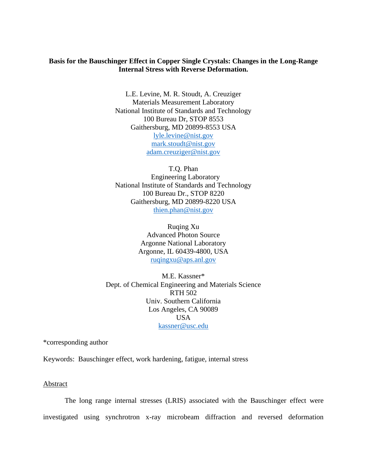# **Basis for the Bauschinger Effect in Copper Single Crystals: Changes in the Long-Range Internal Stress with Reverse Deformation.**

L.E. Levine, M. R. Stoudt, A. Creuziger Materials Measurement Laboratory National Institute of Standards and Technology 100 Bureau Dr, STOP 8553 Gaithersburg, MD 20899-8553 USA [lyle.levine@nist.gov](mailto:lyle.levine@nist.gov) [mark.stoudt@nist.gov](mailto:mark.stoudt@nist.gov) [adam.creuziger@nist.gov](mailto:adam.creuziger@nist.gov)

T.Q. Phan Engineering Laboratory National Institute of Standards and Technology 100 Bureau Dr., STOP 8220 Gaithersburg, MD 20899-8220 USA [thien.phan@nist.gov](mailto:thien.phan@nist.gov)

> Ruqing Xu Advanced Photon Source Argonne National Laboratory Argonne, IL 60439-4800, USA [ruqingxu@aps.anl.gov](mailto:ruqingxu@aps.anl.gov)

M.E. Kassner\* Dept. of Chemical Engineering and Materials Science RTH 502 Univ. Southern California Los Angeles, CA 90089 USA [kassner@usc.edu](mailto:kassner@usc.edu)

\*corresponding author

Keywords: Bauschinger effect, work hardening, fatigue, internal stress

Abstract

The long range internal stresses (LRIS) associated with the Bauschinger effect were investigated using synchrotron x-ray microbeam diffraction and reversed deformation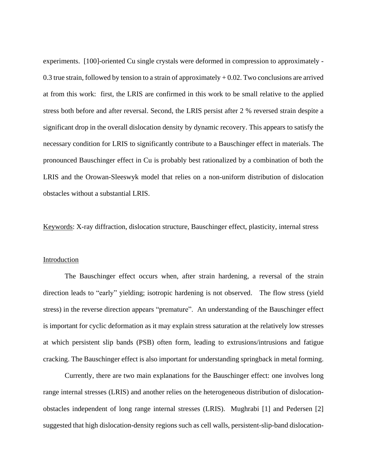experiments. [100]-oriented Cu single crystals were deformed in compression to approximately - 0.3 true strain, followed by tension to a strain of approximately  $+0.02$ . Two conclusions are arrived at from this work: first, the LRIS are confirmed in this work to be small relative to the applied stress both before and after reversal. Second, the LRIS persist after 2 % reversed strain despite a significant drop in the overall dislocation density by dynamic recovery. This appears to satisfy the necessary condition for LRIS to significantly contribute to a Bauschinger effect in materials. The pronounced Bauschinger effect in Cu is probably best rationalized by a combination of both the LRIS and the Orowan-Sleeswyk model that relies on a non-uniform distribution of dislocation obstacles without a substantial LRIS.

Keywords: X-ray diffraction, dislocation structure, Bauschinger effect, plasticity, internal stress

#### Introduction

The Bauschinger effect occurs when, after strain hardening, a reversal of the strain direction leads to "early" yielding; isotropic hardening is not observed. The flow stress (yield stress) in the reverse direction appears "premature". An understanding of the Bauschinger effect is important for cyclic deformation as it may explain stress saturation at the relatively low stresses at which persistent slip bands (PSB) often form, leading to extrusions/intrusions and fatigue cracking. The Bauschinger effect is also important for understanding springback in metal forming.

Currently, there are two main explanations for the Bauschinger effect: one involves long range internal stresses (LRIS) and another relies on the heterogeneous distribution of dislocationobstacles independent of long range internal stresses (LRIS). Mughrabi [1] and Pedersen [2] suggested that high dislocation-density regions such as cell walls, persistent-slip-band dislocation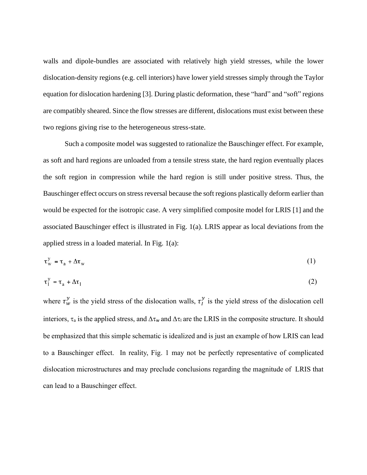walls and dipole-bundles are associated with relatively high yield stresses, while the lower dislocation-density regions (e.g. cell interiors) have lower yield stresses simply through the Taylor equation for dislocation hardening [3]. During plastic deformation, these "hard" and "soft" regions are compatibly sheared. Since the flow stresses are different, dislocations must exist between these two regions giving rise to the heterogeneous stress-state.

Such a composite model was suggested to rationalize the Bauschinger effect. For example, as soft and hard regions are unloaded from a tensile stress state, the hard region eventually places the soft region in compression while the hard region is still under positive stress. Thus, the Bauschinger effect occurs on stress reversal because the soft regions plastically deform earlier than would be expected for the isotropic case. A very simplified composite model for LRIS [1] and the associated Bauschinger effect is illustrated in Fig. 1(a). LRIS appear as local deviations from the applied stress in a loaded material. In Fig. 1(a):

$$
\tau_{\rm w}^{\rm y} = \tau_{\rm a} + \Delta \tau_{\rm w} \tag{1}
$$

$$
\tau_{I}^{y} = \tau_{a} + \Delta \tau_{I} \tag{2}
$$

where  $\tau_w^y$  is the yield stress of the dislocation walls,  $\tau_l^y$  is the yield stress of the dislocation cell interiors,  $\tau_a$  is the applied stress, and  $\Delta \tau_w$  and  $\Delta \tau_1$  are the LRIS in the composite structure. It should be emphasized that this simple schematic is idealized and is just an example of how LRIS can lead to a Bauschinger effect. In reality, Fig. 1 may not be perfectly representative of complicated dislocation microstructures and may preclude conclusions regarding the magnitude of LRIS that can lead to a Bauschinger effect.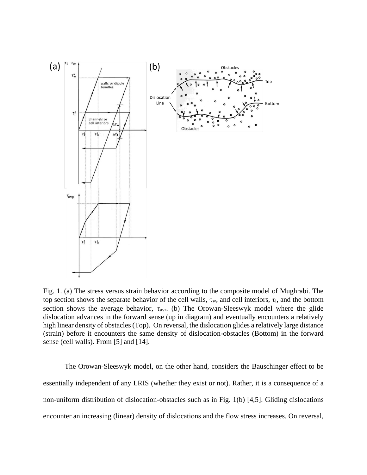

Fig. 1. (a) The stress versus strain behavior according to the composite model of Mughrabi. The top section shows the separate behavior of the cell walls,  $\tau_w$ , and cell interiors,  $\tau_l$ , and the bottom section shows the average behavior,  $\tau_{\text{avr}}$ . (b) The Orowan-Sleeswyk model where the glide dislocation advances in the forward sense (up in diagram) and eventually encounters a relatively high linear density of obstacles (Top). On reversal, the dislocation glides a relatively large distance (strain) before it encounters the same density of dislocation-obstacles (Bottom) in the forward sense (cell walls). From [5] and [14].

The Orowan-Sleeswyk model, on the other hand, considers the Bauschinger effect to be essentially independent of any LRIS (whether they exist or not). Rather, it is a consequence of a non-uniform distribution of dislocation-obstacles such as in Fig. 1(b) [4,5]. Gliding dislocations encounter an increasing (linear) density of dislocations and the flow stress increases. On reversal,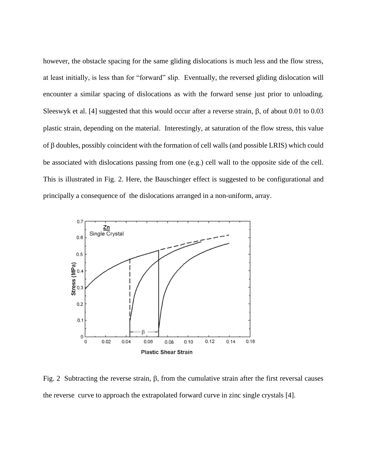however, the obstacle spacing for the same gliding dislocations is much less and the flow stress, at least initially, is less than for "forward" slip. Eventually, the reversed gliding dislocation will encounter a similar spacing of dislocations as with the forward sense just prior to unloading. Sleeswyk et al. [4] suggested that this would occur after a reverse strain,  $\beta$ , of about 0.01 to 0.03 plastic strain, depending on the material. Interestingly, at saturation of the flow stress, this value of  $\beta$  doubles, possibly coincident with the formation of cell walls (and possible LRIS) which could be associated with dislocations passing from one (e.g.) cell wall to the opposite side of the cell. This is illustrated in Fig. 2. Here, the Bauschinger effect is suggested to be configurational and principally a consequence of the dislocations arranged in a non-uniform, array.



Fig. 2 Subtracting the reverse strain,  $\beta$ , from the cumulative strain after the first reversal causes the reverse curve to approach the extrapolated forward curve in zinc single crystals [4].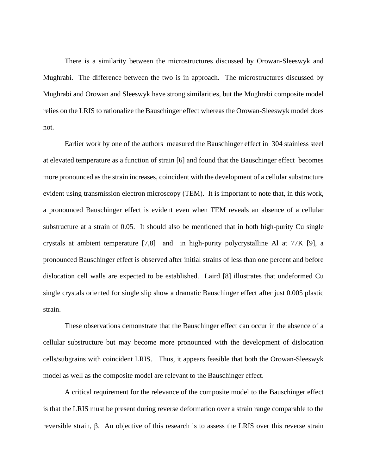There is a similarity between the microstructures discussed by Orowan-Sleeswyk and Mughrabi. The difference between the two is in approach. The microstructures discussed by Mughrabi and Orowan and Sleeswyk have strong similarities, but the Mughrabi composite model relies on the LRIS to rationalize the Bauschinger effect whereas the Orowan-Sleeswyk model does not.

Earlier work by one of the authors measured the Bauschinger effect in 304 stainless steel at elevated temperature as a function of strain [6] and found that the Bauschinger effect becomes more pronounced as the strain increases, coincident with the development of a cellular substructure evident using transmission electron microscopy (TEM). It is important to note that, in this work, a pronounced Bauschinger effect is evident even when TEM reveals an absence of a cellular substructure at a strain of 0.05. It should also be mentioned that in both high-purity Cu single crystals at ambient temperature [7,8] and in high-purity polycrystalline Al at 77K [9], a pronounced Bauschinger effect is observed after initial strains of less than one percent and before dislocation cell walls are expected to be established. Laird [8] illustrates that undeformed Cu single crystals oriented for single slip show a dramatic Bauschinger effect after just 0.005 plastic strain.

These observations demonstrate that the Bauschinger effect can occur in the absence of a cellular substructure but may become more pronounced with the development of dislocation cells/subgrains with coincident LRIS. Thus, it appears feasible that both the Orowan-Sleeswyk model as well as the composite model are relevant to the Bauschinger effect.

A critical requirement for the relevance of the composite model to the Bauschinger effect is that the LRIS must be present during reverse deformation over a strain range comparable to the reversible strain,  $\beta$ . An objective of this research is to assess the LRIS over this reverse strain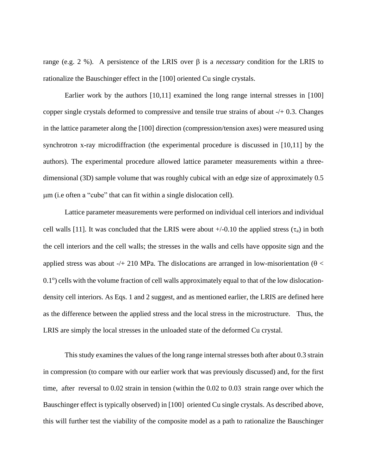range (e.g. 2 %). A persistence of the LRIS over  $\beta$  is a *necessary* condition for the LRIS to rationalize the Bauschinger effect in the [100] oriented Cu single crystals.

Earlier work by the authors [10,11] examined the long range internal stresses in [100] copper single crystals deformed to compressive and tensile true strains of about -/+ 0.3. Changes in the lattice parameter along the [100] direction (compression/tension axes) were measured using synchrotron x-ray microdiffraction (the experimental procedure is discussed in [10,11] by the authors). The experimental procedure allowed lattice parameter measurements within a threedimensional (3D) sample volume that was roughly cubical with an edge size of approximately 0.5 m (i.e often a "cube" that can fit within a single dislocation cell).

Lattice parameter measurements were performed on individual cell interiors and individual cell walls [11]. It was concluded that the LRIS were about  $+/-0.10$  the applied stress  $(\tau_a)$  in both the cell interiors and the cell walls; the stresses in the walls and cells have opposite sign and the applied stress was about -/+ 210 MPa. The dislocations are arranged in low-misorientation ( $\theta$  < 0.1°) cells with the volume fraction of cell walls approximately equal to that of the low dislocationdensity cell interiors. As Eqs. 1 and 2 suggest, and as mentioned earlier, the LRIS are defined here as the difference between the applied stress and the local stress in the microstructure. Thus, the LRIS are simply the local stresses in the unloaded state of the deformed Cu crystal.

This study examines the values of the long range internal stresses both after about 0.3 strain in compression (to compare with our earlier work that was previously discussed) and, for the first time, after reversal to 0.02 strain in tension (within the 0.02 to 0.03 strain range over which the Bauschinger effect is typically observed) in [100] oriented Cu single crystals. As described above, this will further test the viability of the composite model as a path to rationalize the Bauschinger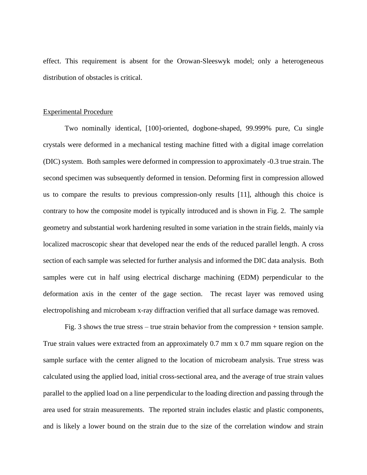effect. This requirement is absent for the Orowan-Sleeswyk model; only a heterogeneous distribution of obstacles is critical.

#### Experimental Procedure

Two nominally identical, [100]-oriented, dogbone-shaped, 99.999% pure, Cu single crystals were deformed in a mechanical testing machine fitted with a digital image correlation (DIC) system. Both samples were deformed in compression to approximately -0.3 true strain. The second specimen was subsequently deformed in tension. Deforming first in compression allowed us to compare the results to previous compression-only results [11], although this choice is contrary to how the composite model is typically introduced and is shown in Fig. 2. The sample geometry and substantial work hardening resulted in some variation in the strain fields, mainly via localized macroscopic shear that developed near the ends of the reduced parallel length. A cross section of each sample was selected for further analysis and informed the DIC data analysis. Both samples were cut in half using electrical discharge machining (EDM) perpendicular to the deformation axis in the center of the gage section. The recast layer was removed using electropolishing and microbeam x-ray diffraction verified that all surface damage was removed.

Fig. 3 shows the true stress – true strain behavior from the compression + tension sample. True strain values were extracted from an approximately 0.7 mm x 0.7 mm square region on the sample surface with the center aligned to the location of microbeam analysis. True stress was calculated using the applied load, initial cross-sectional area, and the average of true strain values parallel to the applied load on a line perpendicular to the loading direction and passing through the area used for strain measurements. The reported strain includes elastic and plastic components, and is likely a lower bound on the strain due to the size of the correlation window and strain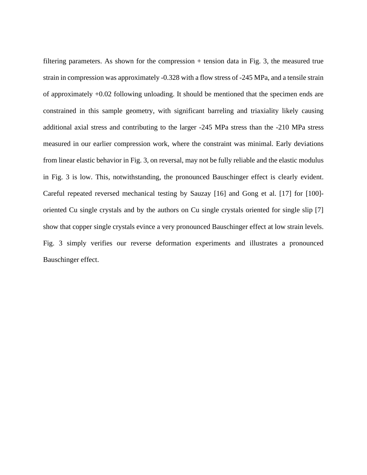filtering parameters. As shown for the compression + tension data in Fig. 3, the measured true strain in compression was approximately -0.328 with a flow stress of -245 MPa, and a tensile strain of approximately +0.02 following unloading. It should be mentioned that the specimen ends are constrained in this sample geometry, with significant barreling and triaxiality likely causing additional axial stress and contributing to the larger -245 MPa stress than the -210 MPa stress measured in our earlier compression work, where the constraint was minimal. Early deviations from linear elastic behavior in Fig. 3, on reversal, may not be fully reliable and the elastic modulus in Fig. 3 is low. This, notwithstanding, the pronounced Bauschinger effect is clearly evident. Careful repeated reversed mechanical testing by Sauzay [16] and Gong et al. [17] for [100] oriented Cu single crystals and by the authors on Cu single crystals oriented for single slip [7] show that copper single crystals evince a very pronounced Bauschinger effect at low strain levels. Fig. 3 simply verifies our reverse deformation experiments and illustrates a pronounced Bauschinger effect.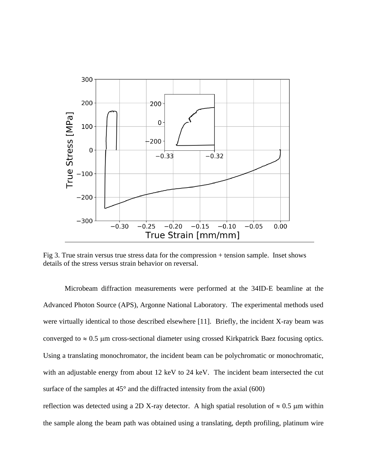

Fig 3. True strain versus true stress data for the compression + tension sample. Inset shows details of the stress versus strain behavior on reversal.

Microbeam diffraction measurements were performed at the 34ID-E beamline at the Advanced Photon Source (APS), Argonne National Laboratory. The experimental methods used were virtually identical to those described elsewhere [11]. Briefly, the incident X-ray beam was converged to  $\approx 0.5$  µm cross-sectional diameter using crossed Kirkpatrick Baez focusing optics. Using a translating monochromator, the incident beam can be polychromatic or monochromatic, with an adjustable energy from about 12 keV to 24 keV. The incident beam intersected the cut surface of the samples at 45° and the diffracted intensity from the axial (600)

reflection was detected using a 2D X-ray detector. A high spatial resolution of  $\approx 0.5$  µm within the sample along the beam path was obtained using a translating, depth profiling, platinum wire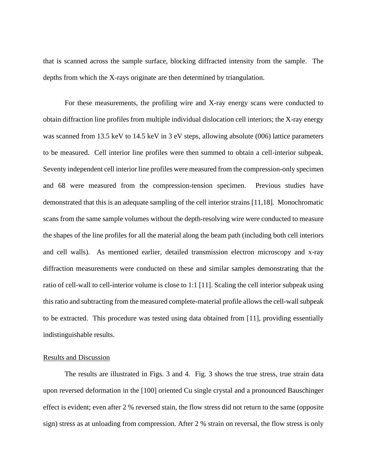that is scanned across the sample surface, blocking diffracted intensity from the sample. The depths from which the X-rays originate are then determined by triangulation.

For these measurements, the profiling wire and X-ray energy scans were conducted to obtain diffraction line profiles from multiple individual dislocation cell interiors; the X-ray energy was scanned from 13.5 keV to 14.5 keV in 3 eV steps, allowing absolute (006) lattice parameters to be measured. Cell interior line profiles were then summed to obtain a cell-interior subpeak. Seventy independent cell interior line profiles were measured from the compression-only specimen and 68 were measured from the compression-tension specimen. Previous studies have demonstrated that this is an adequate sampling of the cell interior strains [11,18]. Monochromatic scans from the same sample volumes without the depth-resolving wire were conducted to measure the shapes of the line profiles for all the material along the beam path (including both cell interiors and cell walls). As mentioned earlier, detailed transmission electron microscopy and x-ray diffraction measurements were conducted on these and similar samples demonstrating that the ratio of cell-wall to cell-interior volume is close to 1:1 [11]. Scaling the cell interior subpeak using this ratio and subtracting from the measured complete-material profile allows the cell-wall subpeak to be extracted. This procedure was tested using data obtained from [11], providing essentially indistinguishable results.

## Results and Discussion

The results are illustrated in Figs. 3 and 4. Fig. 3 shows the true stress, true strain data upon reversed deformation in the [100] oriented Cu single crystal and a pronounced Bauschinger effect is evident; even after 2 % reversed stain, the flow stress did not return to the same (opposite sign) stress as at unloading from compression. After 2 % strain on reversal, the flow stress is only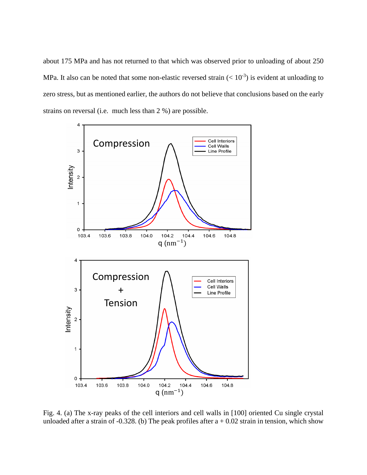about 175 MPa and has not returned to that which was observed prior to unloading of about 250 MPa. It also can be noted that some non-elastic reversed strain  $(< 10^{-3}$ ) is evident at unloading to zero stress, but as mentioned earlier, the authors do not believe that conclusions based on the early strains on reversal (i.e. much less than 2 %) are possible.



Fig. 4. (a) The x-ray peaks of the cell interiors and cell walls in [100] oriented Cu single crystal unloaded after a strain of -0.328. (b) The peak profiles after  $a + 0.02$  strain in tension, which show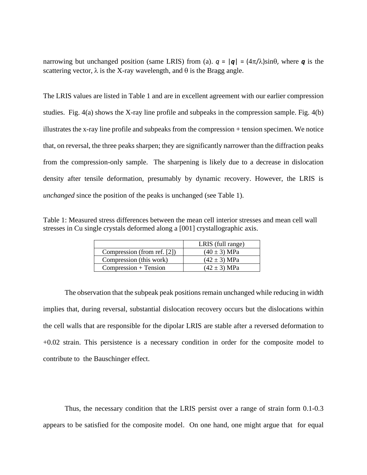narrowing but unchanged position (same LRIS) from (a).  $q = |q| = (4\pi/\lambda) \sin\theta$ , where *q* is the scattering vector,  $\lambda$  is the X-ray wavelength, and  $\theta$  is the Bragg angle.

The LRIS values are listed in Table 1 and are in excellent agreement with our earlier compression studies. Fig. 4(a) shows the X-ray line profile and subpeaks in the compression sample. Fig. 4(b) illustrates the x-ray line profile and subpeaks from the compression + tension specimen. We notice that, on reversal, the three peaks sharpen; they are significantly narrower than the diffraction peaks from the compression-only sample. The sharpening is likely due to a decrease in dislocation density after tensile deformation, presumably by dynamic recovery. However, the LRIS is *unchanged* since the position of the peaks is unchanged (see Table 1).

Table 1: Measured stress differences between the mean cell interior stresses and mean cell wall stresses in Cu single crystals deformed along a [001] crystallographic axis.

|                             | LRIS (full range) |
|-----------------------------|-------------------|
| Compression (from ref. [2]) | $(40 \pm 3)$ MPa  |
| Compression (this work)     | $(42 \pm 3)$ MPa  |
| $Compression + Tension$     | $(42 \pm 3)$ MPa  |

The observation that the subpeak peak positions remain unchanged while reducing in width implies that, during reversal, substantial dislocation recovery occurs but the dislocations within the cell walls that are responsible for the dipolar LRIS are stable after a reversed deformation to +0.02 strain. This persistence is a necessary condition in order for the composite model to contribute to the Bauschinger effect.

Thus, the necessary condition that the LRIS persist over a range of strain form 0.1-0.3 appears to be satisfied for the composite model. On one hand, one might argue that for equal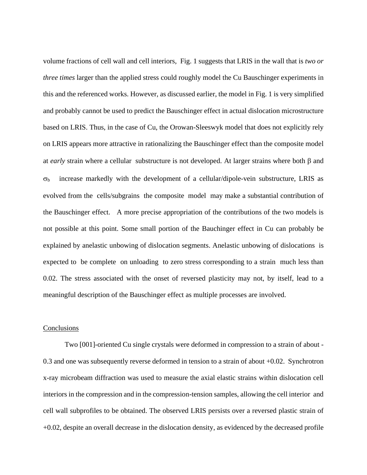volume fractions of cell wall and cell interiors, Fig. 1 suggests that LRIS in the wall that is *two or three times* larger than the applied stress could roughly model the Cu Bauschinger experiments in this and the referenced works. However, as discussed earlier, the model in Fig. 1 is very simplified and probably cannot be used to predict the Bauschinger effect in actual dislocation microstructure based on LRIS. Thus, in the case of Cu, the Orowan-Sleeswyk model that does not explicitly rely on LRIS appears more attractive in rationalizing the Bauschinger effect than the composite model at *early* strain where a cellular substructure is not developed. At larger strains where both  $\beta$  and  $\sigma_b$  increase markedly with the development of a cellular/dipole-vein substructure, LRIS as evolved from the cells/subgrains the composite model may make a substantial contribution of the Bauschinger effect. A more precise appropriation of the contributions of the two models is not possible at this point. Some small portion of the Bauchinger effect in Cu can probably be explained by anelastic unbowing of dislocation segments. Anelastic unbowing of dislocations is expected to be complete on unloading to zero stress corresponding to a strain much less than 0.02. The stress associated with the onset of reversed plasticity may not, by itself, lead to a meaningful description of the Bauschinger effect as multiple processes are involved.

## Conclusions

Two [001]-oriented Cu single crystals were deformed in compression to a strain of about - 0.3 and one was subsequently reverse deformed in tension to a strain of about +0.02. Synchrotron x-ray microbeam diffraction was used to measure the axial elastic strains within dislocation cell interiors in the compression and in the compression-tension samples, allowing the cell interior and cell wall subprofiles to be obtained. The observed LRIS persists over a reversed plastic strain of +0.02, despite an overall decrease in the dislocation density, as evidenced by the decreased profile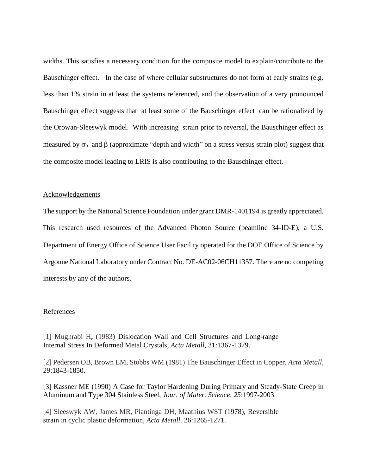widths. This satisfies a necessary condition for the composite model to explain/contribute to the Bauschinger effect. In the case of where cellular substructures do not form at early strains (e.g. less than 1% strain in at least the systems referenced, and the observation of a very pronounced Bauschinger effect suggests that at least some of the Bauschinger effect can be rationalized by the Orowan-Sleeswyk model. With increasing strain prior to reversal, the Bauschinger effect as measured by  $\sigma_b$  and  $\beta$  (approximate "depth and width" on a stress versus strain plot) suggest that the composite model leading to LRIS is also contributing to the Bauschinger effect.

## Acknowledgements

The support by the National Science Foundation under grant DMR-1401194 is greatly appreciated. This research used resources of the Advanced Photon Source (beamline 34-ID-E), a U.S. Department of Energy Office of Science User Facility operated for the DOE Office of Science by Argonne National Laboratory under Contract No. DE-AC02-06CH11357. There are no competing interests by any of the authors.

#### References

[1] Mughrabi H**,** (1983) Dislocation Wall and Cell Structures and Long-range Internal Stress In Deformed Metal Crystals, *Acta Metall*, 31:1367-1379.

[2] Pedersen OB, Brown LM, Stobbs WM (1981) The Bauschinger Effect in Copper, *Acta Metall*, 29:1843-1850.

[3] Kassner ME (1990) A Case for Taylor Hardening During Primary and Steady-State Creep in Aluminum and Type 304 Stainless Steel, *Jour. of Mater. Science*, *25*:1997-2003.

[4] Sleeswyk AW, James MR, Plantinga DH, Maathius WST (1978), [Reversible](https://www.sciencedirect.com/science/article/pii/0001616078900111)  [strain in cyclic plastic deformation,](https://www.sciencedirect.com/science/article/pii/0001616078900111) *Acta Metall*. 26:1265-1271.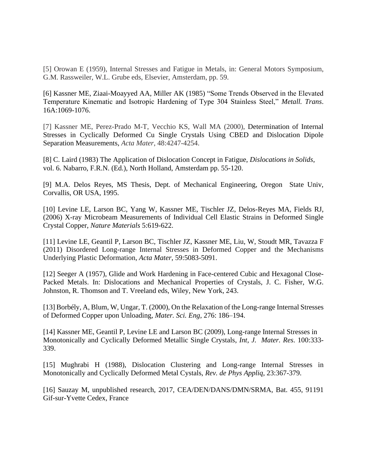[5] Orowan E (1959), Internal Stresses and Fatigue in Metals, in: General Motors Symposium, G.M. Rassweiler, W.L. Grube eds, Elsevier, Amsterdam, pp. 59.

[6] Kassner ME, Ziaai-Moayyed AA, Miller AK (1985) "Some Trends Observed in the Elevated Temperature Kinematic and Isotropic Hardening of Type 304 Stainless Steel," *Metall. Trans*. 16A:1069-1076.

[7] Kassner ME, Perez-Prado M-T, Vecchio KS, Wall MA (2000), Determination of Internal Stresses in Cyclically Deformed Cu Single Crystals Using CBED and Dislocation Dipole Separation Measurements, *Acta Mater*, 48:4247-4254.

[8] C. Laird (1983) The Application of Dislocation Concept in Fatigue, *Dislocations in Solids*, vol. 6. Nabarro, F.R.N. (Ed.), North Holland, Amsterdam pp. 55-120.

[9] M.A. Delos Reyes, MS Thesis, Dept. of Mechanical Engineering, Oregon State Univ, Corvallis, OR USA, 1995.

[10] Levine LE, Larson BC, Yang W, Kassner ME, Tischler JZ, Delos-Reyes MA, Fields RJ, (2006) X-ray Microbeam Measurements of Individual Cell Elastic Strains in Deformed Single Crystal Copper, *Nature Materials* 5:619-622.

[11] Levine LE, Geantil P, Larson BC, Tischler JZ, Kassner ME, Liu, W, Stoudt MR, Tavazza F (2011) Disordered Long-range Internal Stresses in Deformed Copper and the Mechanisms Underlying Plastic Deformation, *Acta Mater*, 59:5083-5091.

[12] Seeger A (1957), Glide and Work Hardening in Face-centered Cubic and Hexagonal Close-Packed Metals. In: Dislocations and Mechanical Properties of Crystals, J. C. Fisher, W.G. Johnston, R. Thomson and T. Vreeland eds, Wiley, New York, 243.

[13] Borbély, A, Blum, W, Ungar, T. (2000), On the Relaxation of the Long-range Internal Stresses of Deformed Copper upon Unloading, *Mater. Sci. Eng*, 276: 186–194.

[14] Kassner ME, Geantil P, Levine LE and Larson BC (2009), Long-range Internal Stresses in Monotonically and Cyclically Deformed Metallic Single Crystals, *Int, J. Mater. Res*. 100:333- 339.

[15] Mughrabi H (1988), Dislocation Clustering and Long-range Internal Stresses in Monotonically and Cyclically Deformed Metal Cystals, *Rev. de Phys Appliq*, 23:367-379.

[16] Sauzay M, unpublished research, 2017, CEA/DEN/DANS/DMN/SRMA, Bat. 455, 91191 Gif-sur-Yvette Cedex, France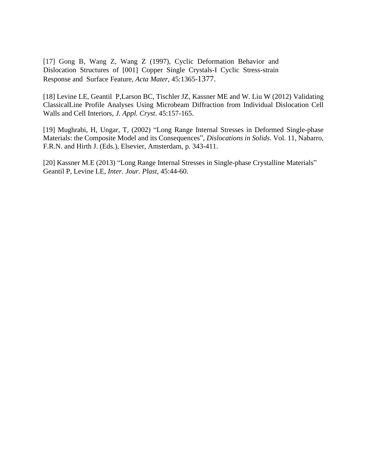[17] Gong B, Wang Z, Wang Z (1997), Cyclic Deformation Behavior and Dislocation Structures of [001] Copper Single Crystals-I Cyclic Stress-strain Response and Surface Feature, *Acta Mater*, 45:1365-1377.

[18] Levine LE, Geantil P,Larson BC, Tischler JZ, Kassner ME and W. Liu W (2012) Validating ClassicalLine Profile Analyses Using Microbeam Diffraction from Individual Dislocation Cell Walls and Cell Interiors, *J. Appl. Cryst*. 45:157-165.

[19] Mughrabi, H, Ungar, T, (2002) "Long Range Internal Stresses in Deformed Single-phase Materials: the Composite Model and its Consequences", *Dislocations in Solids*. Vol. 11, Nabarro, F.R.N. and Hirth J. (Eds.), Elsevier, Amsterdam, p. 343-411.

[20] Kassner M.E (2013) "Long Range Internal Stresses in Single-phase Crystalline Materials" Geantil P, Levine LE, *Inter. Jour. Plast,* 45:44-60.